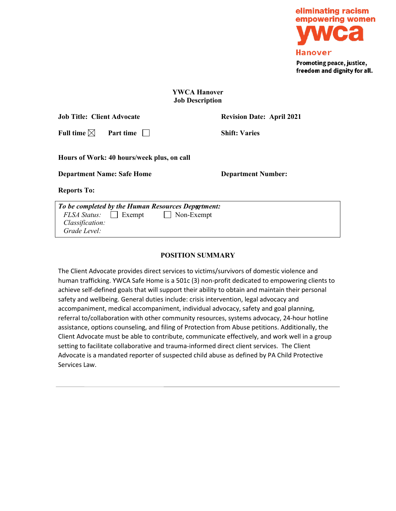

# **YWCA Hanover Job Description**

| <b>Job Title: Client Advocate</b>                  |                      | <b>Revision Date: April 2021</b> |
|----------------------------------------------------|----------------------|----------------------------------|
| Full time $\boxtimes$                              | Part time            | <b>Shift: Varies</b>             |
| Hours of Work: 40 hours/week plus, on call         |                      |                                  |
| <b>Department Name: Safe Home</b>                  |                      | <b>Department Number:</b>        |
| <b>Reports To:</b>                                 |                      |                                  |
| To be completed by the Human Resources Department: |                      |                                  |
| <b>FLSA Status:</b>                                | Non-Exempt<br>Exempt |                                  |

# **POSITION SUMMARY**

 *Classification: Grade Level:*

The Client Advocate provides direct services to victims/survivors of domestic violence and human trafficking. YWCA Safe Home is a 501c (3) non-profit dedicated to empowering clients to achieve self-defined goals that will support their ability to obtain and maintain their personal safety and wellbeing. General duties include: crisis intervention, legal advocacy and accompaniment, medical accompaniment, individual advocacy, safety and goal planning, referral to/collaboration with other community resources, systems advocacy, 24-hour hotline assistance, options counseling, and filing of Protection from Abuse petitions. Additionally, the Client Advocate must be able to contribute, communicate effectively, and work well in a group setting to facilitate collaborative and trauma-informed direct client services. The Client Advocate is a mandated reporter of suspected child abuse as defined by PA Child Protective Services Law.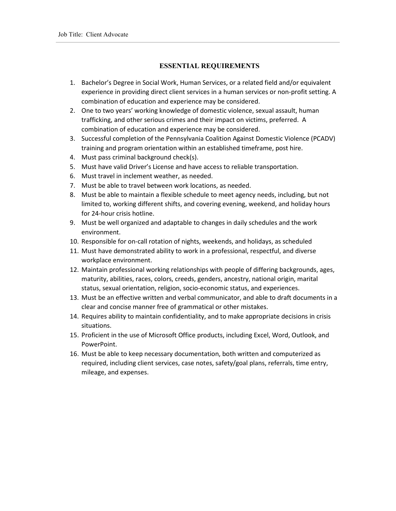# **ESSENTIAL REQUIREMENTS**

- 1. Bachelor's Degree in Social Work, Human Services, or a related field and/or equivalent experience in providing direct client services in a human services or non-profit setting. A combination of education and experience may be considered.
- 2. One to two years' working knowledge of domestic violence, sexual assault, human trafficking, and other serious crimes and their impact on victims, preferred. A combination of education and experience may be considered.
- 3. Successful completion of the Pennsylvania Coalition Against Domestic Violence (PCADV) training and program orientation within an established timeframe, post hire.
- 4. Must pass criminal background check(s).
- 5. Must have valid Driver's License and have access to reliable transportation.
- 6. Must travel in inclement weather, as needed.
- 7. Must be able to travel between work locations, as needed.
- 8. Must be able to maintain a flexible schedule to meet agency needs, including, but not limited to, working different shifts, and covering evening, weekend, and holiday hours for 24-hour crisis hotline.
- 9. Must be well organized and adaptable to changes in daily schedules and the work environment.
- 10. Responsible for on-call rotation of nights, weekends, and holidays, as scheduled
- 11. Must have demonstrated ability to work in a professional, respectful, and diverse workplace environment.
- 12. Maintain professional working relationships with people of differing backgrounds, ages, maturity, abilities, races, colors, creeds, genders, ancestry, national origin, marital status, sexual orientation, religion, socio-economic status, and experiences.
- 13. Must be an effective written and verbal communicator, and able to draft documents in a clear and concise manner free of grammatical or other mistakes.
- 14. Requires ability to maintain confidentiality, and to make appropriate decisions in crisis situations.
- 15. Proficient in the use of Microsoft Office products, including Excel, Word, Outlook, and PowerPoint.
- 16. Must be able to keep necessary documentation, both written and computerized as required, including client services, case notes, safety/goal plans, referrals, time entry, mileage, and expenses.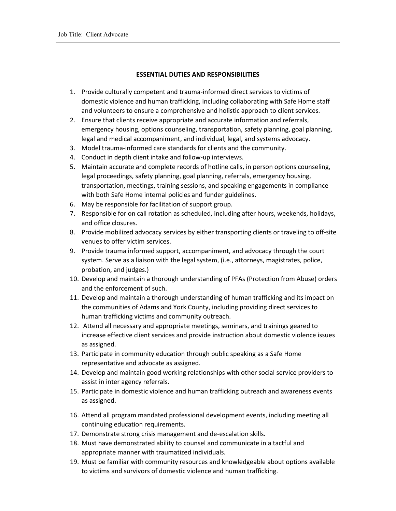## **ESSENTIAL DUTIES AND RESPONSIBILITIES**

- 1. Provide culturally competent and trauma-informed direct services to victims of domestic violence and human trafficking, including collaborating with Safe Home staff and volunteers to ensure a comprehensive and holistic approach to client services.
- 2. Ensure that clients receive appropriate and accurate information and referrals, emergency housing, options counseling, transportation, safety planning, goal planning, legal and medical accompaniment, and individual, legal, and systems advocacy.
- 3. Model trauma-informed care standards for clients and the community.
- 4. Conduct in depth client intake and follow-up interviews.
- 5. Maintain accurate and complete records of hotline calls, in person options counseling, legal proceedings, safety planning, goal planning, referrals, emergency housing, transportation, meetings, training sessions, and speaking engagements in compliance with both Safe Home internal policies and funder guidelines.
- 6. May be responsible for facilitation of support group.
- 7. Responsible for on call rotation as scheduled, including after hours, weekends, holidays, and office closures.
- 8. Provide mobilized advocacy services by either transporting clients or traveling to off-site venues to offer victim services.
- 9. Provide trauma informed support, accompaniment, and advocacy through the court system. Serve as a liaison with the legal system, (i.e., attorneys, magistrates, police, probation, and judges.)
- 10. Develop and maintain a thorough understanding of PFAs (Protection from Abuse) orders and the enforcement of such.
- 11. Develop and maintain a thorough understanding of human trafficking and its impact on the communities of Adams and York County, including providing direct services to human trafficking victims and community outreach.
- 12. Attend all necessary and appropriate meetings, seminars, and trainings geared to increase effective client services and provide instruction about domestic violence issues as assigned.
- 13. Participate in community education through public speaking as a Safe Home representative and advocate as assigned.
- 14. Develop and maintain good working relationships with other social service providers to assist in inter agency referrals.
- 15. Participate in domestic violence and human trafficking outreach and awareness events as assigned.
- 16. Attend all program mandated professional development events, including meeting all continuing education requirements.
- 17. Demonstrate strong crisis management and de-escalation skills.
- 18. Must have demonstrated ability to counsel and communicate in a tactful and appropriate manner with traumatized individuals.
- 19. Must be familiar with community resources and knowledgeable about options available to victims and survivors of domestic violence and human trafficking.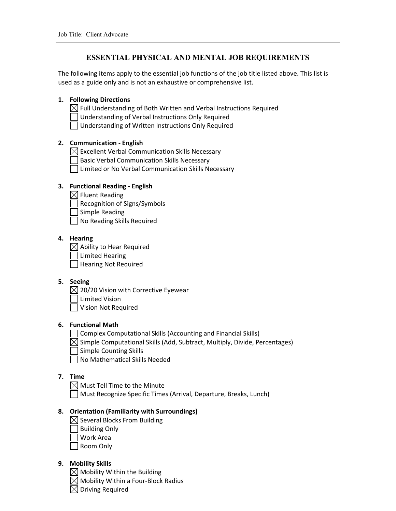# **ESSENTIAL PHYSICAL AND MENTAL JOB REQUIREMENTS**

The following items apply to the essential job functions of the job title listed above. This list is used as a guide only and is not an exhaustive or comprehensive list.

## **1. Following Directions**

 $\boxtimes$  Full Understanding of Both Written and Verbal Instructions Required

Understanding of Verbal Instructions Only Required

Understanding of Written Instructions Only Required

## **2. Communication - English**

 $\boxtimes$  Excellent Verbal Communication Skills Necessary

Basic Verbal Communication Skills Necessary

Limited or No Verbal Communication Skills Necessary

## **3. Functional Reading - English**

- $\boxtimes$  Fluent Reading
	- Recognition of Signs/Symbols
- Simple Reading
- No Reading Skills Required

# **4. Hearing**

 $\boxtimes$  Ability to Hear Required

Limited Hearing

Hearing Not Required

#### **5. Seeing**

 $\boxtimes$  20/20 Vision with Corrective Eyewear

Limited Vision

Vision Not Required

## **6. Functional Math**

Complex Computational Skills (Accounting and Financial Skills)

 $\boxtimes$  Simple Computational Skills (Add, Subtract, Multiply, Divide, Percentages)

Simple Counting Skills

No Mathematical Skills Needed

## **7. Time**

 $\boxtimes$  Must Tell Time to the Minute

Must Recognize Specific Times (Arrival, Departure, Breaks, Lunch)

## **8. Orientation (Familiarity with Surroundings)**

- $\boxtimes$  Several Blocks From Building
	- Building Only
- Work Area
- Room Only

## **9. Mobility Skills**

 $\boxtimes$  Mobility Within the Building

 $\boxtimes$  Mobility Within a Four-Block Radius

Driving Required